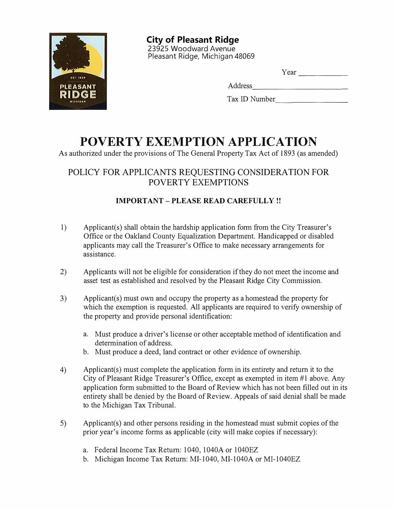

**City of Pleasant Ridge**  23925 Woodward Avenue Pleasant Ridge, Michigan 48069

| the contract of the contract of the |  |  |
|-------------------------------------|--|--|

Address -----------

| Tax ID Number |  |
|---------------|--|
|               |  |

# **POVERTY EXEMPTION APPLICATION**

As authorized under the provisions of The General Property Tax Act of 1893 (as amended)

# POLICY FOR APPLICANTS REQUESTING CONSIDERATION FOR POVERTY EXEMPTIONS

## **IMPORTANT-PLEASE READ CAREFULLY!!**

- 1) Applicant(s) shall obtain the hardship application form from the City Treasurer's Office or the Oakland County Equalization Department. Handicapped or disabled applicants may call the Treasurer's Office to make necessary arrangements for assistance.
- 2) Applicants will not be eligible for consideration if they do not meet the income and asset test as established and resolved by the Pleasant Ridge City Commission.
- 3) Applicant(s) must own and occupy the property as a homestead the property for which the exemption is requested. All applicants are required to verify ownership of the property and provide personal identification:
	- a. Must produce a driver's license or other acceptable method of identification and determination of address.
	- b. Must produce a deed, land contract or other evidence of ownership.
- 4) Applicant(s) must complete the application form in its entirety and return it to the City of Pleasant Ridge Treasurer's Office, except as exempted in item #1 above. Any application form submitted to the Board of Review which has not been filled out in its entirety shall be denied by the Board of Review. Appeals of said denial shall be made to the Michigan Tax Tribunal.
- 5) Applicant(s) and other persons residing in the homestead must submit copies of the prior year's income forms as applicable ( city will make copies if necessary):
	- a. Federal Income Tax Return: 1040, 1040A or 1040EZ
	- b. Michigan Income Tax Return: MI-1040, MI-1040A or MI-1040EZ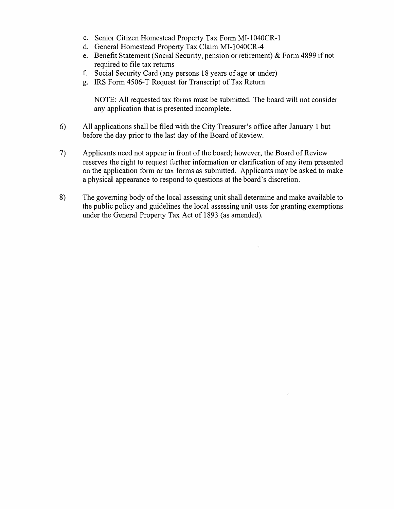- c. Senior Citizen Homestead Property Tax Form MI-1040CR-1
- d. General Homestead Property Tax Claim MI-1040CR-4
- e. Benefit Statement (Social Security, pension or retirement) & Form 4899 if not required to file tax returns
- f. Social Security Card (any persons 18 years of age or under)
- g. IRS Form 4506-T Request for Transcript of Tax Return

NOTE: All requested tax forms must be submitted. The board will not consider any application that is presented incomplete.

- 6) All applications shall be filed with the City Treasurer's office after January 1 but before the day prior to the last day of the Board of Review.
- 7) Applicants need not appear in front of the board; however, the Board of Review reserves the right to request further information or clarification of any item presented on the application form or tax forms as submitted. Applicants may be asked to make a physical appearance to respond to questions at the board's discretion.
- 8) The governing body of the local assessing unit shall determine and make available to the public policy and guidelines the local assessing unit uses for granting exemptions under the General Property Tax Act of 1893 (as amended).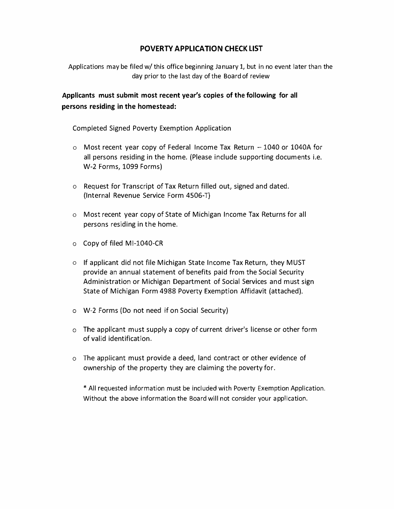## **POVERTY APPLICATION CHECK LIST**

Applications may be filed w/ this office beginning January 1, but in no event later than the day prior to the last day of the Board of review

**Applicants must submit most recent year's copies of the following for all persons residing in the homestead:** 

Completed Signed Poverty Exemption Application

- $\circ$  Most recent year copy of Federal Income Tax Return  $-1040$  or 1040A for all persons residing in the home. (Please include supporting documents i.e. W-2 Forms, 1099 Forms)
- o Request for Transcript of Tax Return filled out, signed and dated. (Internal Revenue Service Form 4506-T)
- o Most recent year copy of State of Michigan Income Tax Returns for all persons residing in the home.
- o Copy of filed Ml-1040-CR
- o If applicant did not file Michigan State Income Tax Return, they MUST provide an annual statement of benefits paid from the Social Security Administration or Michigan Department of Social Services and must sign State of Michigan Form 4988 Poverty Exemption Affidavit (attached).
- o W-2 Forms (Do not need if on Social Security)
- o The applicant must supply a copy of current driver's license or other form of valid identification.
- o The applicant must provide a deed, land contract or other evidence of ownership of the property they are claiming the poverty for.

\* All requested information must be included with Poverty Exemption Application. Without the above information the Board will not consider your application.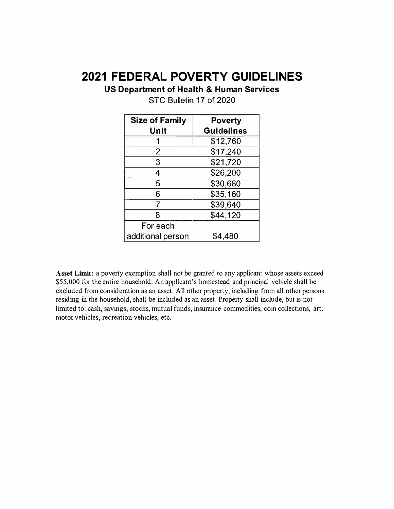# **2021 FEDERAL POVERTY GUIDELINES**

**US Department of Health & Human Services** 

| <b>Size of Family</b> | <b>Poverty</b>    |
|-----------------------|-------------------|
| Unit                  | <b>Guidelines</b> |
|                       | \$12,760          |
| 2                     | \$17,240          |
| 3                     | \$21,720          |
| 4                     | \$26,200          |
| 5                     | \$30,680          |
| 6                     | \$35,160          |
|                       | \$39,640          |
| 8                     | \$44,120          |
| For each              |                   |
| additional person     | \$4.480           |

STC Bulletin 17 of 2020

**Asset Limit:** a poverty exemption shall not be granted to any applicant whose assets exceed \$55,000 for the entire household. An applicant's homestead and principal vehicle shall be excluded from consideration as an asset. All other property, including from all other persons residing in the household, shall be included as an asset. Property shall include, but is not limited to: cash, savings, stocks, mutual funds, insurance commodities, coin collections, art, motor vehicles, recreation vehicles, etc.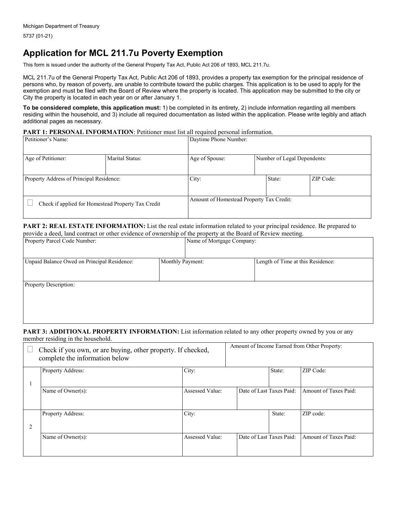# **Application for MCL 211.7u Poverty Exemption**

This form is issued under the authority of the General Property Tax Act, Public Act 206 of 1893, MCL 211.7u.

MCL 211.7u of the General Property Tax Act, Public Act 206 of 1893, provides a property tax exemption for the principal residence of persons who, by reason of poverty, are unable to contribute toward the public charges. This application is to be used to apply for the exemption and must be filed with the Board of Review where the property is located. This application may be submitted to the city or City the property is located in each year on or after January 1.

**To be considered complete, this application must:** 1) be completed in its entirety, 2) include information regarding all members residing within the household, and 3) include all required documentation as listed within the application. Please write legibly and attach additional pages as necessary.

#### **PART 1: PERSONAL INFORMATION**: Petitioner must list all required personal information.

| Petitioner's Name:                       |                                                    |                | Daytime Phone Number:                    |           |  |  |
|------------------------------------------|----------------------------------------------------|----------------|------------------------------------------|-----------|--|--|
| Age of Petitioner:                       | Marital Status:                                    | Age of Spouse: | Number of Legal Dependents:              |           |  |  |
| Property Address of Principal Residence: |                                                    | City:          | State:                                   | ZIP Code: |  |  |
|                                          | Check if applied for Homestead Property Tax Credit |                | Amount of Homestead Property Tax Credit: |           |  |  |

#### PART 2: REAL ESTATE INFORMATION: List the real estate information related to your principal residence. Be prepared to provide a deed, land contract or other evidence of ownership of the property at the Board of Review meeting.

| Property Parcel Code Number:                |                  | Name of Mortgage Company:         |  |  |  |
|---------------------------------------------|------------------|-----------------------------------|--|--|--|
| Unpaid Balance Owed on Principal Residence: | Monthly Payment: | Length of Time at this Residence: |  |  |  |
| <b>Property Description:</b>                |                  |                                   |  |  |  |
|                                             |                  |                                   |  |  |  |

#### **PART 3: ADDITIONAL PROPERTY INFORMATION:** List information related to any other property owned by you or any member residing in the household.

|   | Check if you own, or are buying, other property. If checked,<br>complete the information below |                        |                          |        | Amount of Income Earned from Other Property: |
|---|------------------------------------------------------------------------------------------------|------------------------|--------------------------|--------|----------------------------------------------|
|   | Property Address:                                                                              | City:                  |                          | State: | ZIP Code:                                    |
|   | Name of Owner(s):                                                                              | Assessed Value:        | Date of Last Taxes Paid: |        | Amount of Taxes Paid:                        |
| 2 | <b>Property Address:</b>                                                                       | City:                  |                          | State: | ZIP code:                                    |
|   | Name of Owner(s):                                                                              | <b>Assessed Value:</b> | Date of Last Taxes Paid: |        | Amount of Taxes Paid:                        |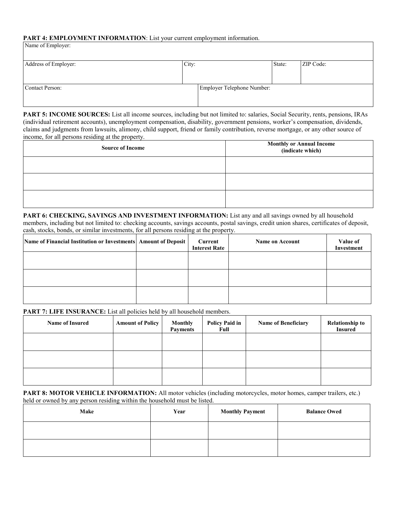#### PART 4: EMPLOYMENT INFORMATION: List your current employment information.

| Address of Employer: | City: |                            | State: | ZIP Code: |
|----------------------|-------|----------------------------|--------|-----------|
|                      |       |                            |        |           |
|                      |       |                            |        |           |
| Contact Person:      |       | Employer Telephone Number: |        |           |
|                      |       |                            |        |           |
|                      |       |                            |        |           |

**PART 5: INCOME SOURCES:** List all income sources, including but not limited to: salaries, Social Security, rents, pensions, IRAs (individual retirement accounts), unemployment compensation, disability, government pensions, worker's compensation, dividends, claims and judgments from lawsuits, alimony, child support, friend or family contribution, reverse mortgage, or any other source of income, for all persons residing at the property.

| <b>Source of Income</b> | <b>Monthly or Annual Income</b><br>(indicate which) |  |  |
|-------------------------|-----------------------------------------------------|--|--|
|                         |                                                     |  |  |
|                         |                                                     |  |  |
|                         |                                                     |  |  |

**PART 6: CHECKING, SAVINGS AND INVESTMENT INFORMATION:** List any and all savings owned by all household members, including but not limited to: checking accounts, savings accounts, postal savings, credit union shares, certificates of deposit, cash, stocks, bonds, or similar investments, for all persons residing at the property.

| Name of Financial Institution or Investments Amount of Deposit | Current<br><b>Interest Rate</b> | <b>Name on Account</b> | Value of<br>Investment |
|----------------------------------------------------------------|---------------------------------|------------------------|------------------------|
|                                                                |                                 |                        |                        |
|                                                                |                                 |                        |                        |
|                                                                |                                 |                        |                        |

### PART 7: LIFE INSURANCE: List all policies held by all household members.

| <b>Name of Insured</b> | <b>Amount of Policy</b> | <b>Monthly</b><br><b>Payments</b> | <b>Policy Paid in</b><br>Full | <b>Name of Beneficiary</b> | <b>Relationship to</b><br><b>Insured</b> |
|------------------------|-------------------------|-----------------------------------|-------------------------------|----------------------------|------------------------------------------|
|                        |                         |                                   |                               |                            |                                          |
|                        |                         |                                   |                               |                            |                                          |
|                        |                         |                                   |                               |                            |                                          |

**PART 8: MOTOR VEHICLE INFORMATION:** All motor vehicles (including motorcycles, motor homes, camper trailers, etc.) held or owned by any person residing within the household must be listed.

| Make | Year | <b>Monthly Payment</b> | <b>Balance Owed</b> |
|------|------|------------------------|---------------------|
|      |      |                        |                     |
|      |      |                        |                     |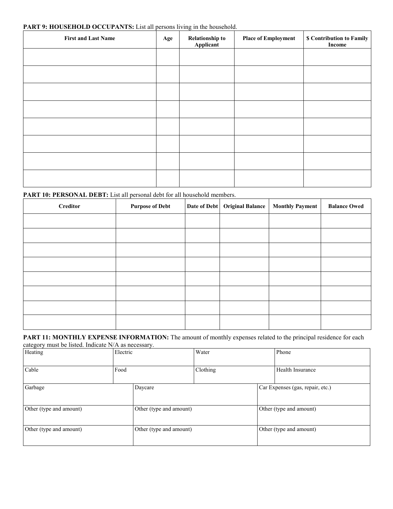#### PART 9: HOUSEHOLD OCCUPANTS: List all persons living in the household.

| <b>First and Last Name</b> | Age | <b>Relationship to</b><br>Applicant | <b>Place of Employment</b> | \$ Contribution to Family<br>Income |
|----------------------------|-----|-------------------------------------|----------------------------|-------------------------------------|
|                            |     |                                     |                            |                                     |
|                            |     |                                     |                            |                                     |
|                            |     |                                     |                            |                                     |
|                            |     |                                     |                            |                                     |
|                            |     |                                     |                            |                                     |
|                            |     |                                     |                            |                                     |
|                            |     |                                     |                            |                                     |
|                            |     |                                     |                            |                                     |

## PART 10: PERSONAL DEBT: List all personal debt for all household members.

| Creditor | <b>Purpose of Debt</b> | Date of Debt   Original Balance | <b>Monthly Payment</b> | <b>Balance Owed</b> |
|----------|------------------------|---------------------------------|------------------------|---------------------|
|          |                        |                                 |                        |                     |
|          |                        |                                 |                        |                     |
|          |                        |                                 |                        |                     |
|          |                        |                                 |                        |                     |
|          |                        |                                 |                        |                     |
|          |                        |                                 |                        |                     |
|          |                        |                                 |                        |                     |
|          |                        |                                 |                        |                     |

**PART 11: MONTHLY EXPENSE INFORMATION:** The amount of monthly expenses related to the principal residence for each category must be listed. Indicate N/A as necessary.

| Heating                                            | Electric |                         | Water    |                                  | Phone                   |
|----------------------------------------------------|----------|-------------------------|----------|----------------------------------|-------------------------|
| Cable                                              | Food     |                         | Clothing |                                  | Health Insurance        |
| Garbage                                            |          | Daycare                 |          | Car Expenses (gas, repair, etc.) |                         |
| Other (type and amount)<br>Other (type and amount) |          | Other (type and amount) |          |                                  |                         |
| Other (type and amount)                            |          | Other (type and amount) |          |                                  | Other (type and amount) |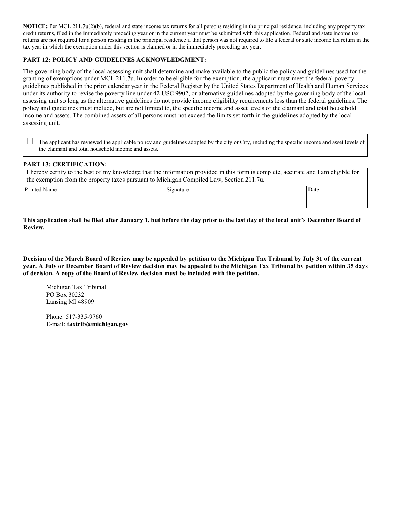**NOTICE:** Per MCL 211.7u(2)(b), federal and state income tax returns for all persons residing in the principal residence, including any property tax credit returns, filed in the immediately preceding year or in the current year must be submitted with this application. Federal and state income tax returns are not required for a person residing in the principal residence if that person was not required to file a federal or state income tax return in the tax year in which the exemption under this section is claimed or in the immediately preceding tax year.

### **PART 12: POLICY AND GUIDELINES ACKNOWLEDGMENT:**

The governing body of the local assessing unit shall determine and make available to the public the policy and guidelines used for the granting of exemptions under MCL 211.7u. In order to be eligible for the exemption, the applicant must meet the federal poverty guidelines published in the prior calendar year in the Federal Register by the United States Department of Health and Human Services under its authority to revise the poverty line under 42 USC 9902, or alternative guidelines adopted by the governing body of the local assessing unit so long as the alternative guidelines do not provide income eligibility requirements less than the federal guidelines. The policy and guidelines must include, but are not limited to, the specific income and asset levels of the claimant and total household income and assets. The combined assets of all persons must not exceed the limits set forth in the guidelines adopted by the local assessing unit.

 The applicant has reviewed the applicable policy and guidelines adopted by the city or City, including the specific income and asset levels of the claimant and total household income and assets.

#### **PART 13: CERTIFICATION:**

 I hereby certify to the best of my knowledge that the information provided in this form is complete, accurate and I am eligible for the exemption from the property taxes pursuant to Michigan Compiled Law, Section 211.7u.

Printed Name Date Date Name Signature Signature Signature Date Date Date Date

**This application shall be filed after January 1, but before the day prior to the last day of the local unit's December Board of Review.**

**Decision of the March Board of Review may be appealed by petition to the Michigan Tax Tribunal by July 31 of the current year. A July or December Board of Review decision may be appealed to the Michigan Tax Tribunal by petition within 35 days of decision. A copy of the Board of Review decision must be included with the petition.**

Michigan Tax Tribunal PO Box 30232 Lansing MI 48909

Phone: 517-335-9760 E-mail: **taxtrib@michigan.gov**